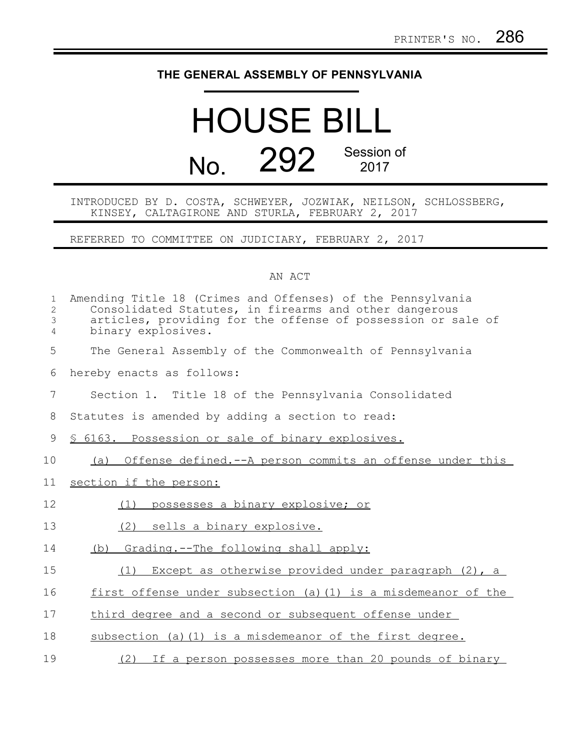## **THE GENERAL ASSEMBLY OF PENNSYLVANIA**

## HOUSE BILL No. 292 Session of 2017

INTRODUCED BY D. COSTA, SCHWEYER, JOZWIAK, NEILSON, SCHLOSSBERG, KINSEY, CALTAGIRONE AND STURLA, FEBRUARY 2, 2017

REFERRED TO COMMITTEE ON JUDICIARY, FEBRUARY 2, 2017

## AN ACT

| $\mathbf{1}$<br>$\overline{2}$<br>3<br>4 | Amending Title 18 (Crimes and Offenses) of the Pennsylvania<br>Consolidated Statutes, in firearms and other dangerous<br>articles, providing for the offense of possession or sale of<br>binary explosives. |
|------------------------------------------|-------------------------------------------------------------------------------------------------------------------------------------------------------------------------------------------------------------|
| 5                                        | The General Assembly of the Commonwealth of Pennsylvania                                                                                                                                                    |
| 6                                        | hereby enacts as follows:                                                                                                                                                                                   |
| 7                                        | Section 1. Title 18 of the Pennsylvania Consolidated                                                                                                                                                        |
| 8                                        | Statutes is amended by adding a section to read:                                                                                                                                                            |
| 9                                        | § 6163. Possession or sale of binary explosives.                                                                                                                                                            |
| 10                                       | Offense defined.--A person commits an offense under this<br>(a)                                                                                                                                             |
| 11                                       | section if the person:                                                                                                                                                                                      |
| 12                                       | possesses a binary explosive; or<br>(1)                                                                                                                                                                     |
| 13                                       | sells a binary explosive.<br>(2)                                                                                                                                                                            |
| 14                                       | (b) Grading.--The following shall apply:                                                                                                                                                                    |
| 15                                       | Except as otherwise provided under paragraph (2), a<br>(1)                                                                                                                                                  |
| 16                                       | first offense under subsection (a) (1) is a misdemeanor of the                                                                                                                                              |
| 17                                       | third degree and a second or subsequent offense under                                                                                                                                                       |
| 18                                       | subsection (a) (1) is a misdemeanor of the first degree.                                                                                                                                                    |
| 19                                       | (2) If a person possesses more than 20 pounds of binary                                                                                                                                                     |